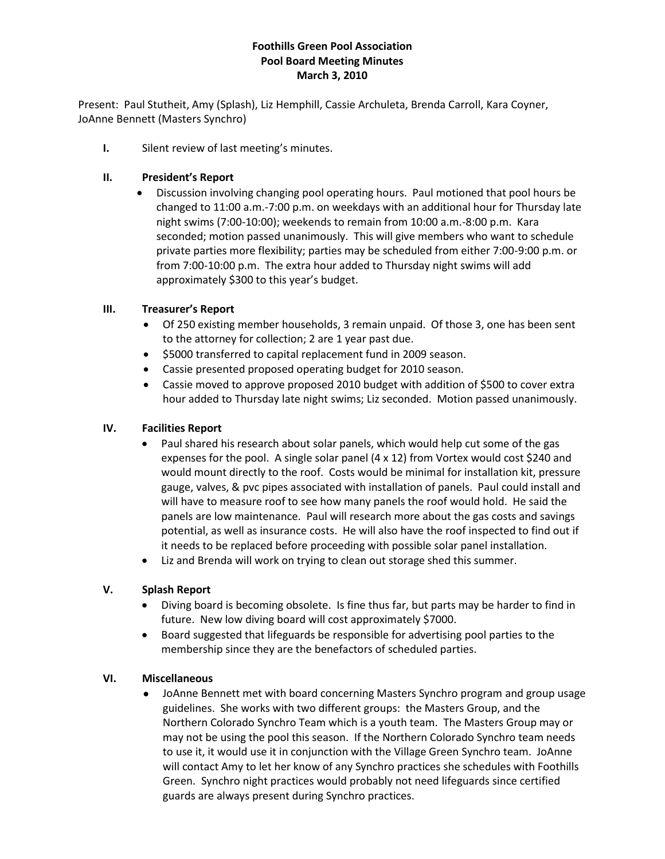# **Foothills Green Pool Association Pool Board Meeting Minutes March 3, 2010**

Present: Paul Stutheit, Amy (Splash), Liz Hemphill, Cassie Archuleta, Brenda Carroll, Kara Coyner, JoAnne Bennett (Masters Synchro)

**I.** Silent review of last meeting's minutes.

# **II. President's Report**

 Discussion involving changing pool operating hours. Paul motioned that pool hours be changed to 11:00 a.m.-7:00 p.m. on weekdays with an additional hour for Thursday late night swims (7:00-10:00); weekends to remain from 10:00 a.m.-8:00 p.m. Kara seconded; motion passed unanimously. This will give members who want to schedule private parties more flexibility; parties may be scheduled from either 7:00-9:00 p.m. or from 7:00-10:00 p.m. The extra hour added to Thursday night swims will add approximately \$300 to this year's budget.

# **III. Treasurer's Report**

- Of 250 existing member households, 3 remain unpaid. Of those 3, one has been sent to the attorney for collection; 2 are 1 year past due.
- $\bullet$  \$5000 transferred to capital replacement fund in 2009 season.
- Cassie presented proposed operating budget for 2010 season.
- Cassie moved to approve proposed 2010 budget with addition of \$500 to cover extra hour added to Thursday late night swims; Liz seconded. Motion passed unanimously.

# **IV. Facilities Report**

- Paul shared his research about solar panels, which would help cut some of the gas expenses for the pool. A single solar panel (4 x 12) from Vortex would cost \$240 and would mount directly to the roof. Costs would be minimal for installation kit, pressure gauge, valves, & pvc pipes associated with installation of panels. Paul could install and will have to measure roof to see how many panels the roof would hold. He said the panels are low maintenance. Paul will research more about the gas costs and savings potential, as well as insurance costs. He will also have the roof inspected to find out if it needs to be replaced before proceeding with possible solar panel installation.
- Liz and Brenda will work on trying to clean out storage shed this summer.

# **V. Splash Report**

- Diving board is becoming obsolete. Is fine thus far, but parts may be harder to find in future. New low diving board will cost approximately \$7000.
- Board suggested that lifeguards be responsible for advertising pool parties to the membership since they are the benefactors of scheduled parties.

# **VI. Miscellaneous**

 JoAnne Bennett met with board concerning Masters Synchro program and group usage guidelines. She works with two different groups: the Masters Group, and the Northern Colorado Synchro Team which is a youth team. The Masters Group may or may not be using the pool this season. If the Northern Colorado Synchro team needs to use it, it would use it in conjunction with the Village Green Synchro team. JoAnne will contact Amy to let her know of any Synchro practices she schedules with Foothills Green. Synchro night practices would probably not need lifeguards since certified guards are always present during Synchro practices.